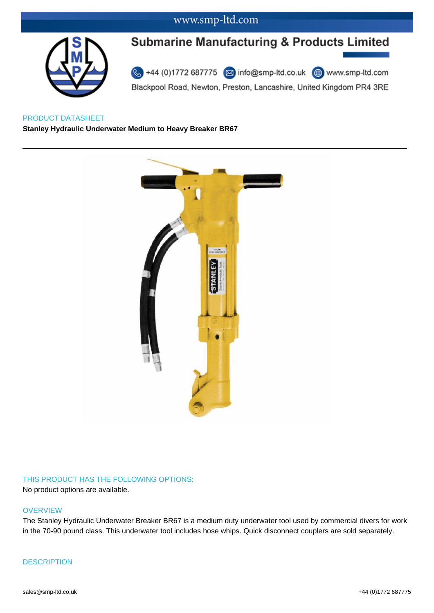### www.smp-ltd.com



# **Submarine Manufacturing & Products Limited**

44 (0)1772 687775 2 info@smp-ltd.co.uk <sup>4</sup> www.smp-ltd.com Blackpool Road, Newton, Preston, Lancashire, United Kingdom PR4 3RE

PRODUCT DATASHEET **Stanley Hydraulic Underwater Medium to Heavy Breaker BR67**



### THIS PRODUCT HAS THE FOLLOWING OPTIONS:

No product options are available.

#### **OVERVIEW**

The Stanley Hydraulic Underwater Breaker BR67 is a medium duty underwater tool used by commercial divers for work in the 70-90 pound class. This underwater tool includes hose whips. Quick disconnect couplers are sold separately.

### **DESCRIPTION**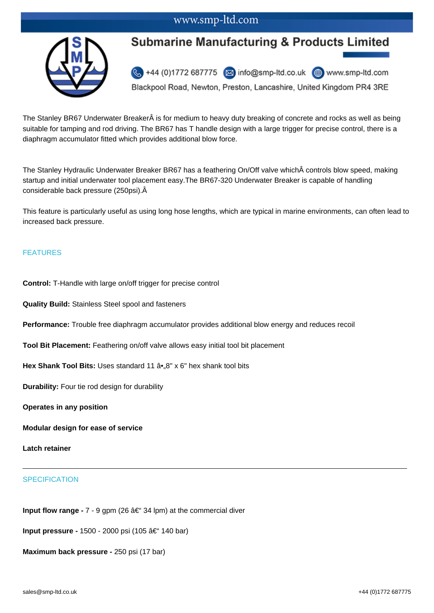### www.smp-ltd.com



## **Submarine Manufacturing & Products Limited**

44 (0)1772 687775 x info@smp-ltd.co.uk (a) www.smp-ltd.com

Blackpool Road, Newton, Preston, Lancashire, United Kingdom PR4 3RE

The Stanley BR67 Underwater Breaker is for medium to heavy duty breaking of concrete and rocks as well as being suitable for tamping and rod driving. The BR67 has T handle design with a large trigger for precise control, there is a diaphragm accumulator fitted which provides additional blow force.

The Stanley Hydraulic Underwater Breaker BR67 has a feathering On/Off valve which controls blow speed, making startup and initial underwater tool placement easy.The BR67-320 Underwater Breaker is capable of handling considerable back pressure (250psi).

This feature is particularly useful as using long hose lengths, which are typical in marine environments, can often lead to increased back pressure.

#### FEATURES

**Control:** T-Handle with large on/off trigger for precise control

**Quality Build:** Stainless Steel spool and fasteners

**Performance:** Trouble free diaphragm accumulator provides additional blow energy and reduces recoil

**Tool Bit Placement:** Feathering on/off valve allows easy initial tool bit placement

Hex Shank Tool Bits: Uses standard 11  $\hat{a}$ •, 8" x 6" hex shank tool bits

**Durability:** Four tie rod design for durability

**Operates in any position**

**Modular design for ease of service**

**Latch retainer**

### **SPECIFICATION**

**Input flow range -** 7 - 9 gpm (26 †34 lpm) at the commercial diver

**Input pressure -** 1500 - 2000 psi (105 †140 bar)

**Maximum back pressure -** 250 psi (17 bar)